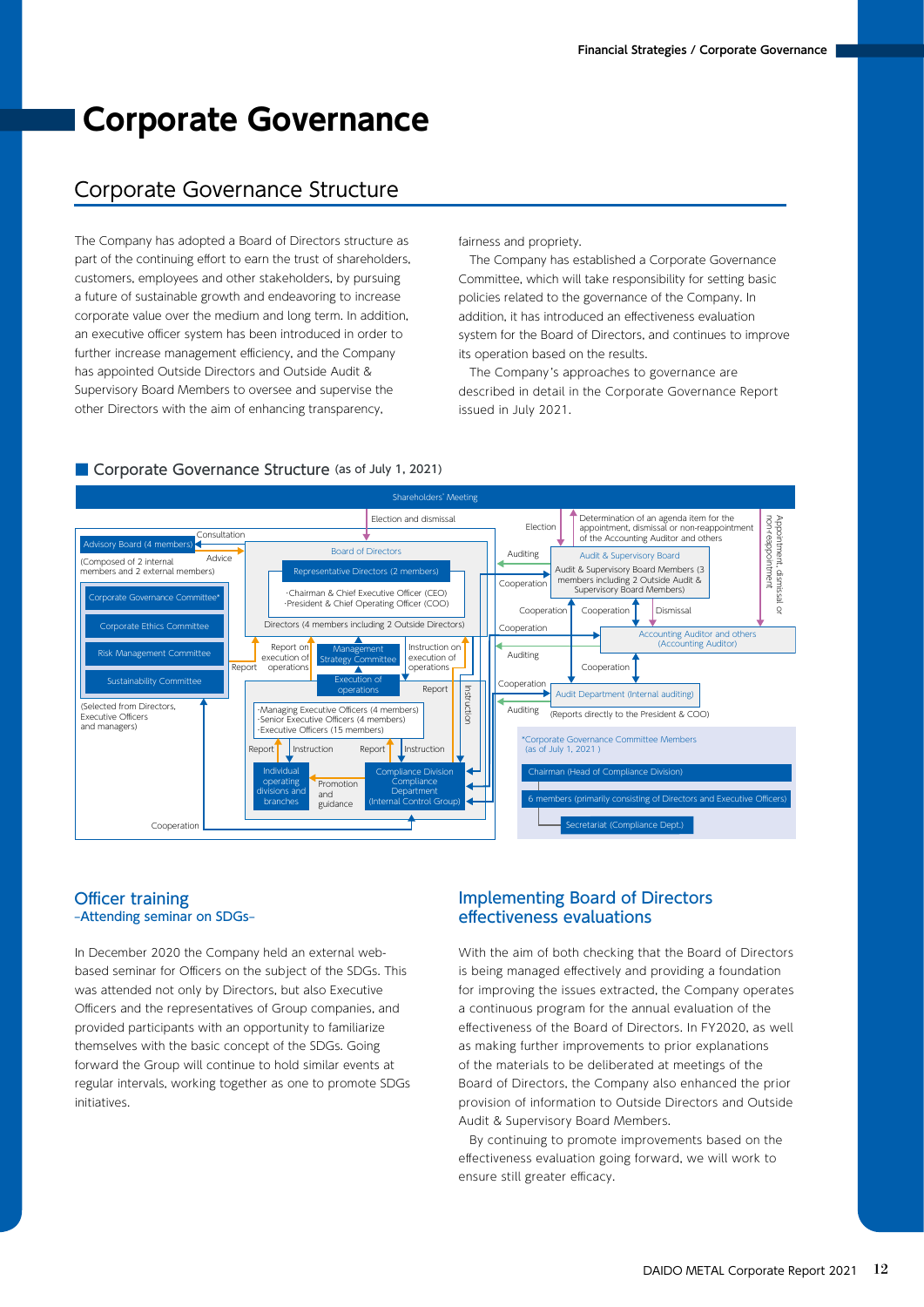# **Corporate Governance**

# Corporate Governance Structure

The Company has adopted a Board of Directors structure as part of the continuing effort to earn the trust of shareholders, customers, employees and other stakeholders, by pursuing a future of sustainable growth and endeavoring to increase corporate value over the medium and long term. In addition, an executive officer system has been introduced in order to further increase management efficiency, and the Company has appointed Outside Directors and Outside Audit & Supervisory Board Members to oversee and supervise the other Directors with the aim of enhancing transparency,

fairness and propriety.

 The Company has established a Corporate Governance Committee, which will take responsibility for setting basic policies related to the governance of the Company. In addition, it has introduced an effectiveness evaluation system for the Board of Directors, and continues to improve its operation based on the results.

 The Company's approaches to governance are described in detail in the Corporate Governance Report issued in July 2021.



#### ■ Corporate Governance Structure (as of July 1, 2021)

### Officer training –Attending seminar on SDGs–

In December 2020 the Company held an external webbased seminar for Officers on the subject of the SDGs. This was attended not only by Directors, but also Executive Officers and the representatives of Group companies, and provided participants with an opportunity to familiarize themselves with the basic concept of the SDGs. Going forward the Group will continue to hold similar events at regular intervals, working together as one to promote SDGs initiatives.

# Implementing Board of Directors effectiveness evaluations

With the aim of both checking that the Board of Directors is being managed effectively and providing a foundation for improving the issues extracted, the Company operates a continuous program for the annual evaluation of the effectiveness of the Board of Directors. In FY2020, as well as making further improvements to prior explanations of the materials to be deliberated at meetings of the Board of Directors, the Company also enhanced the prior provision of information to Outside Directors and Outside Audit & Supervisory Board Members.

 By continuing to promote improvements based on the effectiveness evaluation going forward, we will work to ensure still greater efficacy.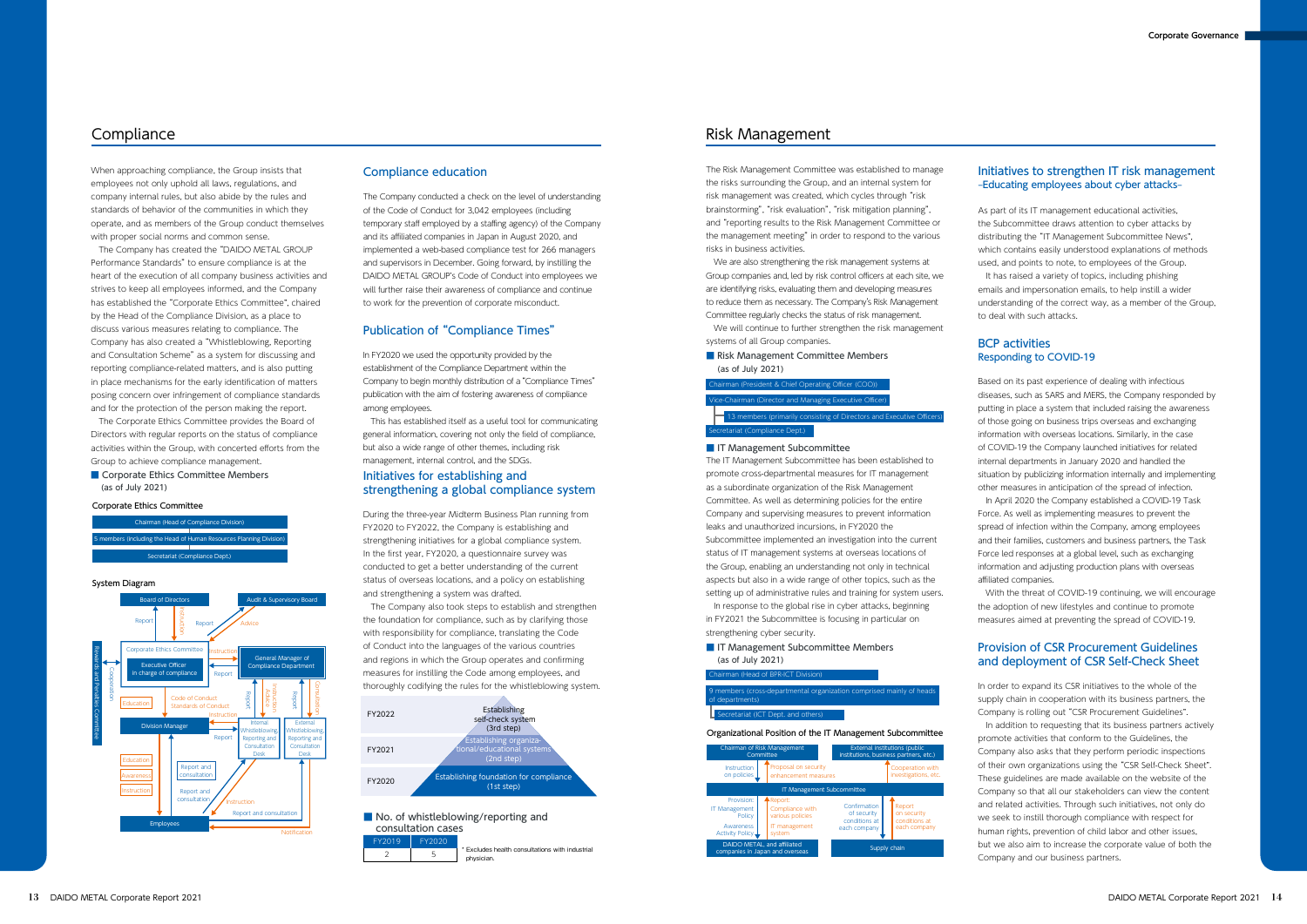In FY2020 we used the opportunity provided by the establishment of the Compliance Department within the Company to begin monthly distribution of a"Compliance Times" publication with the aim of fostering awareness of compliance among employees.

### ■ Corporate Ethics Committee Members (as of July 2021)

 This has established itself as a useful tool for communicating general information, covering not only the field of compliance, but also a wide range of other themes, including risk management, internal control, and the SDGs.

### Compliance education

#### Corporate Ethics Committee

Chairman (Head of Compliance Divisio embers (including the Head of Human Resources Planning Divis Secretariat (Compliance Dept.)

#### System Diagram



### ■ Risk Management Committee Members (as of July 2021)

# Publication of "Compliance Times"

# rman (President & Chief Operating Officer ( Vice-Chairman (Director and Managing Executive Officer) 13 members (primarily consisting of Directors and Executive Officers) Secretariat (Compliance Dept.)

#### ■ IT Management Subcommittee

The Risk Management Committee was established to manage the risks surrounding the Group, and an internal system for risk management was created, which cycles through "risk brainstorming", "risk evaluation", "risk mitigation planning", and"reporting results to the Risk Management Committee or the management meeting" in order to respond to the various risks in business activities.

 We are also strengthening the risk management systems at Group companies and, led by risk control officers at each site, we are identifying risks, evaluating them and developing measures to reduce them as necessary. The Company's Risk Management Committee regularly checks the status of risk management. We will continue to further strengthen the risk management

systems of all Group companies.

# Risk Management

### ■ IT Management Subcommittee Members (as of July 2021)

The Company conducted a check on the level of understanding of the Code of Conduct for 3,042 employees (including temporary staff employed by a staffing agency) of the Company and its affiliated companies in Japan in August 2020, and implemented a web-based compliance test for 266 managers and supervisors in December. Going forward, by instilling the DAIDO METAL GROUP's Code of Conduct into employees we will further raise their awareness of compliance and continue to work for the prevention of corporate misconduct.

As part of its IT management educational activities, the Subcommittee draws attention to cyber attacks by distributing the "IT Management Subcommittee News", which contains easily understood explanations of methods used, and points to note, to employees of the Group. It has raised a variety of topics, including phishing emails and impersonation emails, to help instill a wider understanding of the correct way, as a member of the Group, to deal with such attacks.

### Initiatives to strengthen IT risk management –Educating employees about cyber attacks–

The IT Management Subcommittee has been established to promote cross-departmental measures for IT management as a subordinate organization of the Risk Management Committee. As well as determining policies for the entire Company and supervising measures to prevent information leaks and unauthorized incursions, in FY2020 the Subcommittee implemented an investigation into the current status of IT management systems at overseas locations of the Group, enabling an understanding not only in technical aspects but also in a wide range of other topics, such as the setting up of administrative rules and training for system users.

# ■ No. of whistleblowing/reporting and consultation cases

 In response to the global rise in cyber attacks, beginning in FY2021 the Subcommittee is focusing in particular on strengthening cyber security.







### Organizational Position of the IT Management Subcommittee



# **Compliance**

When approaching compliance, the Group insists that employees not only uphold all laws, regulations, and company internal rules, but also abide by the rules and standards of behavior of the communities in which they operate, and as members of the Group conduct themselves with proper social norms and common sense.

 The Company has created the"DAIDO METAL GROUP Performance Standards"to ensure compliance is at the heart of the execution of all company business activities and strives to keep all employees informed, and the Company has established the"Corporate Ethics Committee", chaired by the Head of the Compliance Division, as a place to discuss various measures relating to compliance. The Company has also created a"Whistleblowing, Reporting and Consultation Scheme" as a system for discussing and reporting compliance-related matters, and is also putting in place mechanisms for the early identification of matters posing concern over infringement of compliance standards and for the protection of the person making the report.

 The Corporate Ethics Committee provides the Board of Directors with regular reports on the status of compliance activities within the Group, with concerted efforts from the Group to achieve compliance management.

> During the three-year Midterm Business Plan running from FY2020 to FY2022, the Company is establishing and strengthening initiatives for a global compliance system. In the first year, FY2020, a questionnaire survey was conducted to get a better understanding of the current status of overseas locations, and a policy on establishing and strengthening a system was drafted.

 The Company also took steps to establish and strengthen the foundation for compliance, such as by clarifying those with responsibility for compliance, translating the Code of Conduct into the languages of the various countries and regions in which the Group operates and confirming measures for instilling the Code among employees, and thoroughly codifying the rules for the whistleblowing system.

# Initiatives for establishing and strengthening a global compliance system

Based on its past experience of dealing with infectious diseases, such as SARS and MERS, the Company responded by putting in place a system that included raising the awareness of those going on business trips overseas and exchanging information with overseas locations. Similarly, in the case of COVID-19 the Company launched initiatives for related internal departments in January 2020 and handled the situation by publicizing information internally and implementing other measures in anticipation of the spread of infection. In April 2020 the Company established a COVID-19 Task Force. As well as implementing measures to prevent the spread of infection within the Company, among employees and their families, customers and business partners, the Task Force led responses at a global level, such as exchanging information and adjusting production plans with overseas affiliated companies.

 With the threat of COVID-19 continuing, we will encourage the adoption of new lifestyles and continue to promote measures aimed at preventing the spread of COVID-19.

# BCP activities Responding to COVID-19

FY2019 FY2020  $\overline{2}$   $\overline{5}$   $\overline{5}$   $\overline{2}$   $\overline{5}$   $\overline{6}$   $\overline{2}$   $\overline{3}$   $\overline{4}$  Excludes health consultations with industrial physician.

In order to expand its CSR initiatives to the whole of the supply chain in cooperation with its business partners, the Company is rolling out"CSR Procurement Guidelines". In addition to requesting that its business partners actively promote activities that conform to the Guidelines, the Company also asks that they perform periodic inspections of their own organizations using the"CSR Self-Check Sheet". These guidelines are made available on the website of the Company so that all our stakeholders can view the content and related activities. Through such initiatives, not only do we seek to instill thorough compliance with respect for human rights, prevention of child labor and other issues, but we also aim to increase the corporate value of both the Company and our business partners.

# Provision of CSR Procurement Guidelines and deployment of CSR Self-Check Sheet